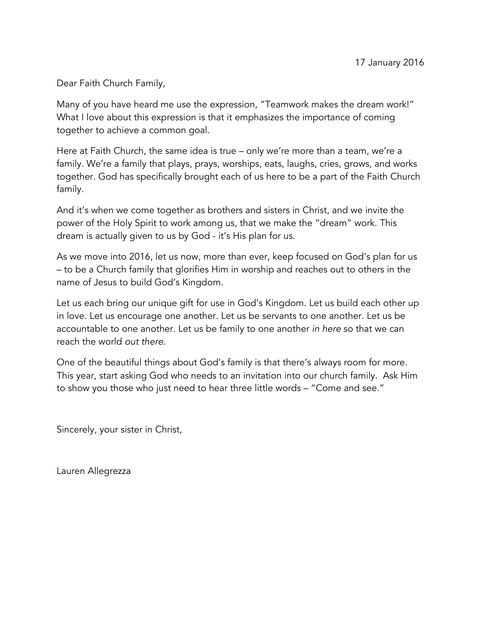Dear Faith Church Family,

Many of you have heard me use the expression, "Teamwork makes the dream work!" What I love about this expression is that it emphasizes the importance of coming together to achieve a common goal.

Here at Faith Church, the same idea is true – only we're more than a team, we're a family. We're a family that plays, prays, worships, eats, laughs, cries, grows, and works together. God has specifically brought each of us here to be a part of the Faith Church family.

And it's when we come together as brothers and sisters in Christ, and we invite the power of the Holy Spirit to work among us, that we make the "dream" work. This dream is actually given to us by God - it's His plan for us.

As we move into 2016, let us now, more than ever, keep focused on God's plan for us – to be a Church family that glorifies Him in worship and reaches out to others in the name of Jesus to build God's Kingdom.

Let us each bring our unique gift for use in God's Kingdom. Let us build each other up in love. Let us encourage one another. Let us be servants to one another. Let us be accountable to one another. Let us be family to one another *in here* so that we can reach the world *out there*.

One of the beautiful things about God's family is that there's always room for more. This year, start asking God who needs to an invitation into our church family. Ask Him to show you those who just need to hear three little words – "Come and see."

Sincerely, your sister in Christ,

Lauren Allegrezza